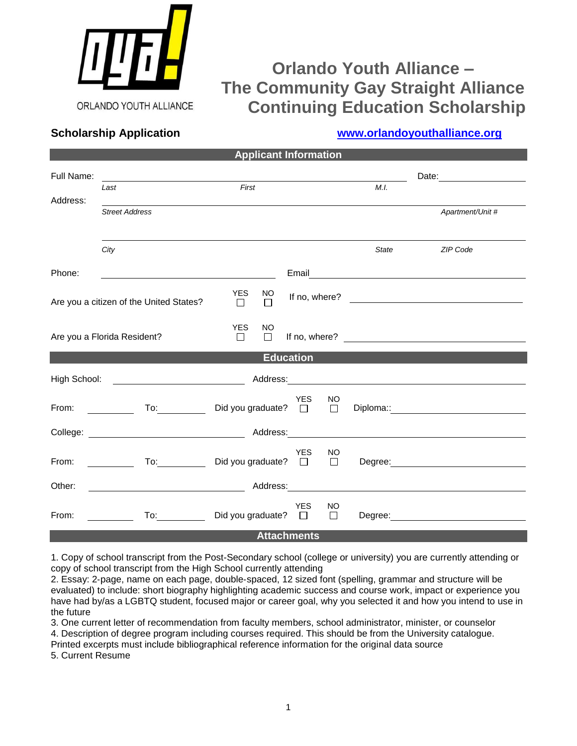

# **Orlando Youth Alliance – The Community Gay Straight Alliance Continuing Education Scholarship**

## **Scholarship Application [www.orlandoyouthalliance.org](http://www.orlandoyouthalliance.org/)**

| <b>Applicant Information</b>                                                                                                 |                                                                                                                                                                                                                                |                             |              |            |              |                                                  |                                                                                                                                                                                                                                |
|------------------------------------------------------------------------------------------------------------------------------|--------------------------------------------------------------------------------------------------------------------------------------------------------------------------------------------------------------------------------|-----------------------------|--------------|------------|--------------|--------------------------------------------------|--------------------------------------------------------------------------------------------------------------------------------------------------------------------------------------------------------------------------------|
| Full Name:                                                                                                                   | <u> 1980 - Johann Barn, mars eta bainar eta baina eta baina eta baina eta baina eta baina eta baina eta baina e</u><br>Last                                                                                                    | First                       |              |            | M.I.         | Date:                                            |                                                                                                                                                                                                                                |
| Address:                                                                                                                     | <b>Street Address</b>                                                                                                                                                                                                          |                             |              |            |              |                                                  | Apartment/Unit #                                                                                                                                                                                                               |
|                                                                                                                              | City                                                                                                                                                                                                                           |                             |              |            |              | State                                            | ZIP Code                                                                                                                                                                                                                       |
| Phone:                                                                                                                       | <u> 1989 - Johann Barbara, martin da basar a</u>                                                                                                                                                                               |                             |              |            |              | Email <u>___________________________________</u> |                                                                                                                                                                                                                                |
| Are you a citizen of the United States?                                                                                      |                                                                                                                                                                                                                                | YES<br>$\Box$               | NO<br>$\Box$ |            |              |                                                  | If no, where? $\qquad \qquad$                                                                                                                                                                                                  |
| Are you a Florida Resident?                                                                                                  |                                                                                                                                                                                                                                | <b>YES</b><br>$\Box$        | NO<br>$\Box$ |            |              |                                                  |                                                                                                                                                                                                                                |
| <b>Education</b>                                                                                                             |                                                                                                                                                                                                                                |                             |              |            |              |                                                  |                                                                                                                                                                                                                                |
| High School:                                                                                                                 | <u>and the state of the state of the state</u>                                                                                                                                                                                 |                             |              |            |              |                                                  |                                                                                                                                                                                                                                |
| From: $\frac{1}{\sqrt{1-\frac{1}{2}}}\frac{1}{\sqrt{1-\frac{1}{2}}\sqrt{1-\frac{1}{2}}\left(\frac{1}{2}-\frac{1}{2}\right)}$ | To: Did you graduate? $\Box$                                                                                                                                                                                                   |                             |              | YES        | NO           |                                                  |                                                                                                                                                                                                                                |
|                                                                                                                              |                                                                                                                                                                                                                                |                             |              |            |              |                                                  |                                                                                                                                                                                                                                |
| From: $\qquad \qquad \qquad$                                                                                                 |                                                                                                                                                                                                                                | Did you graduate? $\Box$    |              | <b>YES</b> | NO           |                                                  | Degree: National Contract of the Contract of the Contract of the Contract of the Contract of the Contract of the Contract of the Contract of the Contract of the Contract of the Contract of the Contract of the Contract of t |
| Other:                                                                                                                       |                                                                                                                                                                                                                                |                             |              |            |              |                                                  |                                                                                                                                                                                                                                |
| From:                                                                                                                        | To: and the state of the state of the state of the state of the state of the state of the state of the state of the state of the state of the state of the state of the state of the state of the state of the state of the st | Did you graduate? $\square$ |              | YES        | NO<br>$\Box$ |                                                  | Degree: <u>www.community.com</u>                                                                                                                                                                                               |
| <b>Attachments</b>                                                                                                           |                                                                                                                                                                                                                                |                             |              |            |              |                                                  |                                                                                                                                                                                                                                |

1. Copy of school transcript from the Post-Secondary school (college or university) you are currently attending or copy of school transcript from the High School currently attending

2. Essay: 2‐page, name on each page, double‐spaced, 12 sized font (spelling, grammar and structure will be evaluated) to include: short biography highlighting academic success and course work, impact or experience you have had by/as a LGBTQ student, focused major or career goal, why you selected it and how you intend to use in the future

3. One current letter of recommendation from faculty members, school administrator, minister, or counselor 4. Description of degree program including courses required. This should be from the University catalogue.

Printed excerpts must include bibliographical reference information for the original data source

5. Current Resume